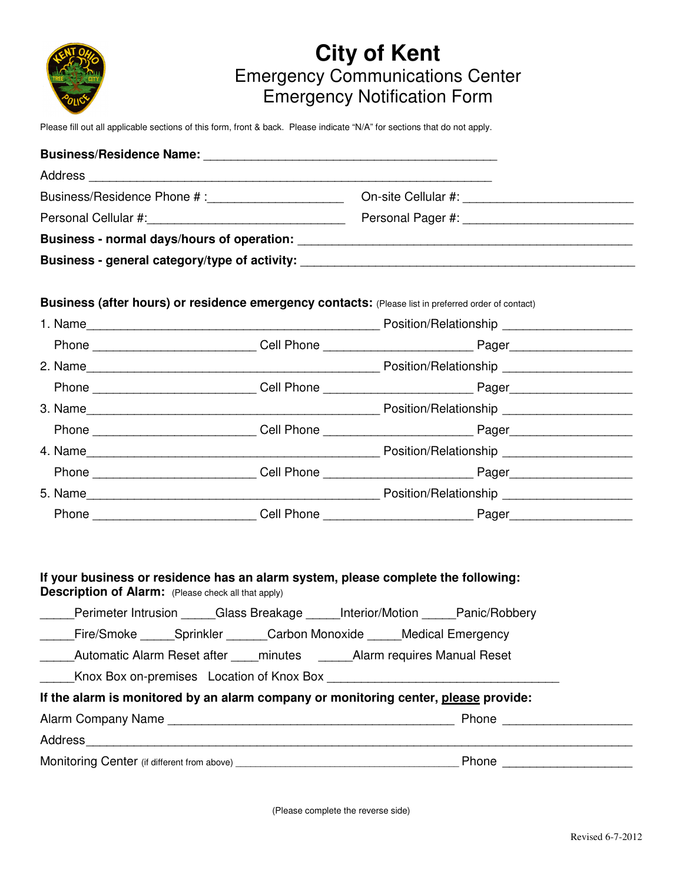

## **City of Kent** Emergency Communications Center Emergency Notification Form

Please fill out all applicable sections of this form, front & back. Please indicate "N/A" for sections that do not apply.

| Address                                                                                                                                                                                                                       |                                                                                                                                                                                                                               |  |
|-------------------------------------------------------------------------------------------------------------------------------------------------------------------------------------------------------------------------------|-------------------------------------------------------------------------------------------------------------------------------------------------------------------------------------------------------------------------------|--|
|                                                                                                                                                                                                                               | On-site Cellular #:                                                                                                                                                                                                           |  |
| Personal Cellular #: expression of the set of the set of the set of the set of the set of the set of the set of the set of the set of the set of the set of the set of the set of the set of the set of the set of the set of | Personal Pager #: Network and Contact the Contact of the Contact of the Contact of the Contact of the Contact of the Contact of the Contact of the Contact of the Contact of the Contact of the Contact of the Contact of the |  |
|                                                                                                                                                                                                                               |                                                                                                                                                                                                                               |  |
| Business - general category/type of activity: __________________________________                                                                                                                                              |                                                                                                                                                                                                                               |  |

**Business (after hours) or residence emergency contacts:** (Please list in preferred order of contact)

| 1. Name |                                       |
|---------|---------------------------------------|
|         |                                       |
| 2. Name |                                       |
|         |                                       |
| 3. Name |                                       |
|         |                                       |
|         | Position/Relationship _______________ |
|         |                                       |
|         |                                       |
|         |                                       |

| If your business or residence has an alarm system, please complete the following:<br><b>Description of Alarm:</b> (Please check all that apply) |  |  |  |
|-------------------------------------------------------------------------------------------------------------------------------------------------|--|--|--|
| Perimeter Intrusion Glass Breakage Interior/Motion Panic/Robbery                                                                                |  |  |  |
| Fire/Smoke Sprinkler Carbon Monoxide Medical Emergency                                                                                          |  |  |  |
| Automatic Alarm Reset after minutes Alarm requires Manual Reset                                                                                 |  |  |  |
| Knox Box on-premises Location of Knox Box                                                                                                       |  |  |  |

## **If the alarm is monitored by an alarm company or monitoring center, please provide:**

| Alarm Company Name                          | Phone |
|---------------------------------------------|-------|
| Address                                     |       |
| Monitoring Center (if different from above) | Phone |

(Please complete the reverse side)